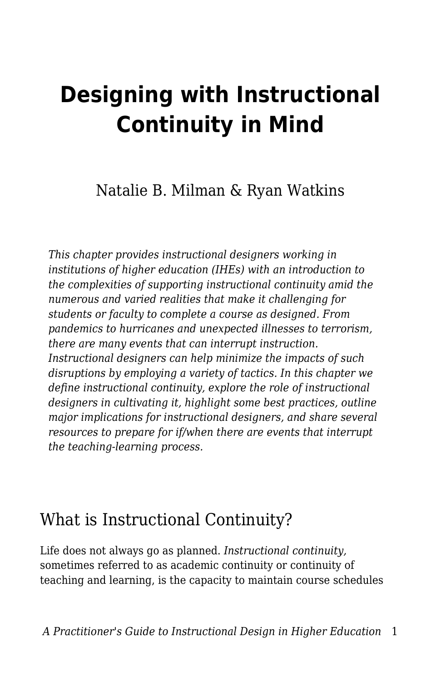# **Designing with Instructional Continuity in Mind**

Natalie B. Milman & Ryan Watkins

*This chapter provides instructional designers working in institutions of higher education (IHEs) with an introduction to the complexities of supporting instructional continuity amid the numerous and varied realities that make it challenging for students or faculty to complete a course as designed. From pandemics to hurricanes and unexpected illnesses to terrorism, there are many events that can interrupt instruction. Instructional designers can help minimize the impacts of such disruptions by employing a variety of tactics. In this chapter we define instructional continuity, explore the role of instructional designers in cultivating it, highlight some best practices, outline major implications for instructional designers, and share several resources to prepare for if/when there are events that interrupt the teaching-learning process.*

### What is Instructional Continuity?

Life does not always go as planned. *Instructional continuity,* sometimes referred to as academic continuity or continuity of teaching and learning, is the capacity to maintain course schedules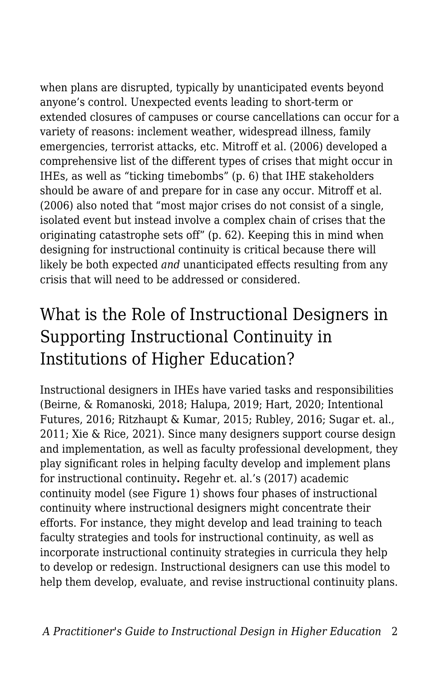when plans are disrupted, typically by unanticipated events beyond anyone's control. Unexpected events leading to short-term or extended closures of campuses or course cancellations can occur for a variety of reasons: inclement weather, widespread illness, family emergencies, terrorist attacks, etc. Mitroff et al. (2006) developed a comprehensive list of the different types of crises that might occur in IHEs, as well as "ticking timebombs" (p. 6) that IHE stakeholders should be aware of and prepare for in case any occur. Mitroff et al. (2006) also noted that "most major crises do not consist of a single, isolated event but instead involve a complex chain of crises that the originating catastrophe sets off" (p. 62). Keeping this in mind when designing for instructional continuity is critical because there will likely be both expected *and* unanticipated effects resulting from any crisis that will need to be addressed or considered.

### What is the Role of Instructional Designers in Supporting Instructional Continuity in Institutions of Higher Education?

Instructional designers in IHEs have varied tasks and responsibilities (Beirne, & Romanoski, 2018; Halupa, 2019; Hart, 2020; Intentional Futures, 2016; Ritzhaupt & Kumar, 2015; Rubley, 2016; Sugar et. al., 2011; Xie & Rice, 2021). Since many designers support course design and implementation, as well as faculty professional development, they play significant roles in helping faculty develop and implement plans for instructional continuity**.** Regehr et. al.'s (2017) academic continuity model (see Figure 1) shows four phases of instructional continuity where instructional designers might concentrate their efforts. For instance, they might develop and lead training to teach faculty strategies and tools for instructional continuity, as well as incorporate instructional continuity strategies in curricula they help to develop or redesign. Instructional designers can use this model to help them develop, evaluate, and revise instructional continuity plans.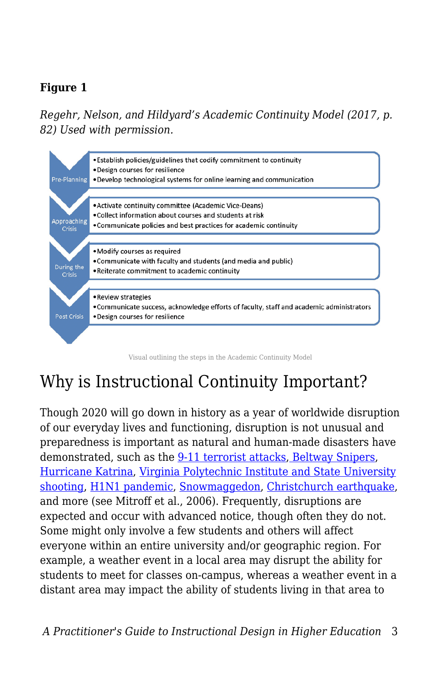#### **Figure 1**

*Regehr, Nelson, and Hildyard's Academic Continuity Model (2017, p. 82) Used with permission.* 



# Why is Instructional Continuity Important?

Though 2020 will go down in history as a year of worldwide disruption of our everyday lives and functioning, disruption is not unusual and preparedness is important as natural and human-made disasters have demonstrated, such as the [9-11 terrorist attacks,](https://www.britannica.com/event/September-11-attacks) [Beltway Snipers,](https://www.fbi.gov/history/famous-cases/beltway-snipers) [Hurricane Katrina,](https://www.weather.gov/mob/katrina#:~:text=Hurricane%20Katrina%20(August%202005)%20became,by%20Hurricane%20Andrew%20from%201992.) [Virginia Polytechnic Institute and State University](https://www.britannica.com/event/Virginia-Tech-shooting) [shooting](https://www.britannica.com/event/Virginia-Tech-shooting), [H1N1 pandemic](https://www.cdc.gov/flu/pandemic-resources/2009-h1n1-pandemic.html), [Snowmaggedon](https://www.washingtonpost.com/weather/2019/02/05/remembering-s-snowmageddon-images-scenes/), [Christchurch earthquake,](https://nzhistory.govt.nz/page/christchurch-earthquake-kills-185) and more (see Mitroff et al., 2006). Frequently, disruptions are expected and occur with advanced notice, though often they do not. Some might only involve a few students and others will affect everyone within an entire university and/or geographic region. For example, a weather event in a local area may disrupt the ability for students to meet for classes on-campus, whereas a weather event in a distant area may impact the ability of students living in that area to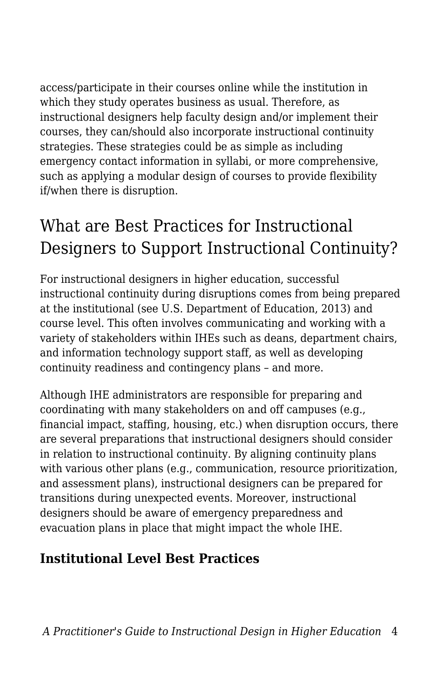access/participate in their courses online while the institution in which they study operates business as usual. Therefore, as instructional designers help faculty design and/or implement their courses, they can/should also incorporate instructional continuity strategies. These strategies could be as simple as including emergency contact information in syllabi, or more comprehensive, such as applying a modular design of courses to provide flexibility if/when there is disruption.

# What are Best Practices for Instructional Designers to Support Instructional Continuity?

For instructional designers in higher education, successful instructional continuity during disruptions comes from being prepared at the institutional (see U.S. Department of Education, 2013) and course level. This often involves communicating and working with a variety of stakeholders within IHEs such as deans, department chairs, and information technology support staff, as well as developing continuity readiness and contingency plans – and more.

Although IHE administrators are responsible for preparing and coordinating with many stakeholders on and off campuses (e.g., financial impact, staffing, housing, etc.) when disruption occurs, there are several preparations that instructional designers should consider in relation to instructional continuity. By aligning continuity plans with various other plans (e.g., communication, resource prioritization, and assessment plans), instructional designers can be prepared for transitions during unexpected events. Moreover, instructional designers should be aware of emergency preparedness and evacuation plans in place that might impact the whole IHE.

#### **Institutional Level Best Practices**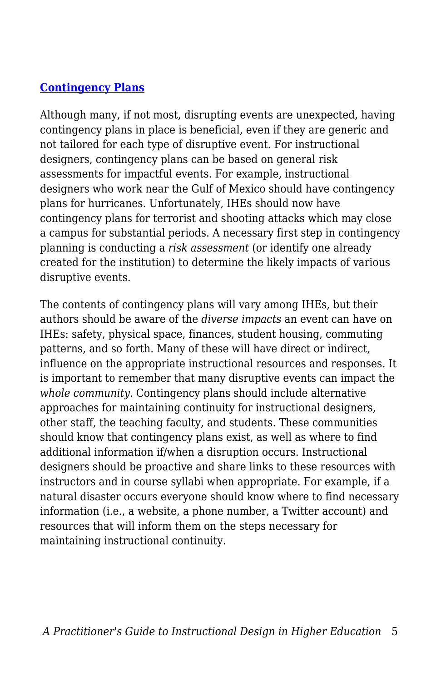#### **[Contingency Plans](https://er.educause.edu/blogs/2016/8/best-of-the-best-key-steps-for-successful-contingency-plans)**

Although many, if not most, disrupting events are unexpected, having contingency plans in place is beneficial, even if they are generic and not tailored for each type of disruptive event. For instructional designers, contingency plans can be based on general risk assessments for impactful events. For example, instructional designers who work near the Gulf of Mexico should have contingency plans for hurricanes. Unfortunately, IHEs should now have contingency plans for terrorist and shooting attacks which may close a campus for substantial periods. A necessary first step in contingency planning is conducting a *risk assessment* (or identify one already created for the institution) to determine the likely impacts of various disruptive events.

The contents of contingency plans will vary among IHEs, but their authors should be aware of the *diverse impacts* an event can have on IHEs: safety, physical space, finances, student housing, commuting patterns, and so forth. Many of these will have direct or indirect, influence on the appropriate instructional resources and responses. It is important to remember that many disruptive events can impact the *whole community*. Contingency plans should include alternative approaches for maintaining continuity for instructional designers, other staff, the teaching faculty, and students. These communities should know that contingency plans exist, as well as where to find additional information if/when a disruption occurs. Instructional designers should be proactive and share links to these resources with instructors and in course syllabi when appropriate. For example, if a natural disaster occurs everyone should know where to find necessary information (i.e., a website, a phone number, a Twitter account) and resources that will inform them on the steps necessary for maintaining instructional continuity.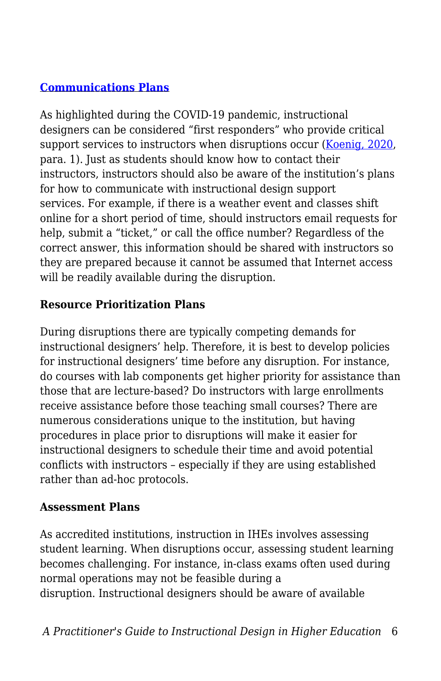#### **[Communications Plans](https://www.insidehighered.com/blogs/call-action-marketing-and-communications-higher-education/case-emergency)**

As highlighted during the COVID-19 pandemic, instructional designers can be considered "first responders" who provide critical support services to instructors when disruptions occur ([Koenig, 2020](https://www.edsurge.com/news/2020-03-19-meet-the-instructional-design-first-responders-helping-faculty-teach-in-an-emergency), para. 1). Just as students should know how to contact their instructors, instructors should also be aware of the institution's plans for how to communicate with instructional design support services. For example, if there is a weather event and classes shift online for a short period of time, should instructors email requests for help, submit a "ticket," or call the office number? Regardless of the correct answer, this information should be shared with instructors so they are prepared because it cannot be assumed that Internet access will be readily available during the disruption.

#### **Resource Prioritization Plans**

During disruptions there are typically competing demands for instructional designers' help. Therefore, it is best to develop policies for instructional designers' time before any disruption. For instance, do courses with lab components get higher priority for assistance than those that are lecture-based? Do instructors with large enrollments receive assistance before those teaching small courses? There are numerous considerations unique to the institution, but having procedures in place prior to disruptions will make it easier for instructional designers to schedule their time and avoid potential conflicts with instructors – especially if they are using established rather than ad-hoc protocols.

#### **Assessment Plans**

As accredited institutions, instruction in IHEs involves assessing student learning. When disruptions occur, assessing student learning becomes challenging. For instance, in-class exams often used during normal operations may not be feasible during a disruption. Instructional designers should be aware of available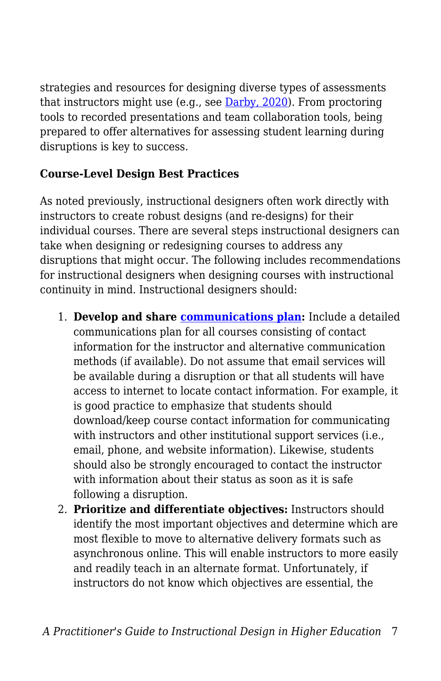strategies and resources for designing diverse types of assessments that instructors might use (e.g., see [Darby, 2020\)](https://www.chronicle.com/article/7-ways-to-assess-students-online-and-minimize-cheating). From proctoring tools to recorded presentations and team collaboration tools, being prepared to offer alternatives for assessing student learning during disruptions is key to success.

#### **Course-Level Design Best Practices**

As noted previously, instructional designers often work directly with instructors to create robust designs (and re-designs) for their individual courses. There are several steps instructional designers can take when designing or redesigning courses to address any disruptions that might occur. The following includes recommendations for instructional designers when designing courses with instructional continuity in mind. Instructional designers should:

- 1. **Develop and share [communications plan:](https://www.uscupstate.edu/faculty-staff/faculty-tool-kit/keep-on-teaching/establishing-an-instructional-communication-plan/)** Include a detailed communications plan for all courses consisting of contact information for the instructor and alternative communication methods (if available). Do not assume that email services will be available during a disruption or that all students will have access to internet to locate contact information. For example, it is good practice to emphasize that students should download/keep course contact information for communicating with instructors and other institutional support services (i.e., email, phone, and website information). Likewise, students should also be strongly encouraged to contact the instructor with information about their status as soon as it is safe following a disruption.
- 2. **Prioritize and differentiate objectives:** Instructors should identify the most important objectives and determine which are most flexible to move to alternative delivery formats such as asynchronous online. This will enable instructors to more easily and readily teach in an alternate format. Unfortunately, if instructors do not know which objectives are essential, the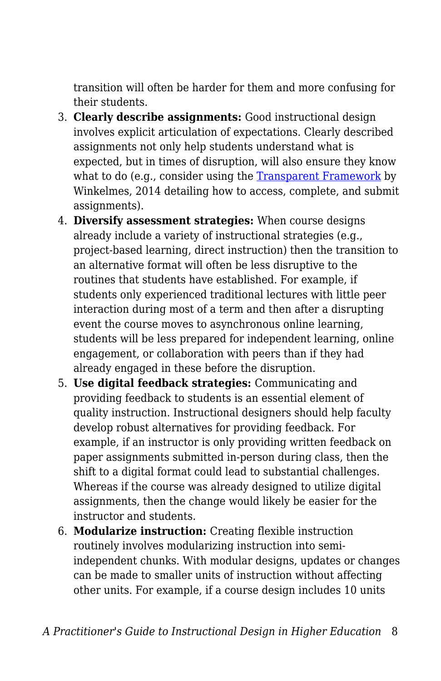transition will often be harder for them and more confusing for their students.

- 3. **Clearly describe assignments:** Good instructional design involves explicit articulation of expectations. Clearly described assignments not only help students understand what is expected, but in times of disruption, will also ensure they know what to do (e.g., consider using the [Transparent Framework](https://tilthighered.com/tiltexamplesandresources) by Winkelmes, 2014 detailing how to access, complete, and submit assignments).
- 4. **Diversify assessment strategies:** When course designs already include a variety of instructional strategies (e.g., project-based learning, direct instruction) then the transition to an alternative format will often be less disruptive to the routines that students have established. For example, if students only experienced traditional lectures with little peer interaction during most of a term and then after a disrupting event the course moves to asynchronous online learning, students will be less prepared for independent learning, online engagement, or collaboration with peers than if they had already engaged in these before the disruption.
- 5. **Use digital feedback strategies:** Communicating and providing feedback to students is an essential element of quality instruction. Instructional designers should help faculty develop robust alternatives for providing feedback. For example, if an instructor is only providing written feedback on paper assignments submitted in-person during class, then the shift to a digital format could lead to substantial challenges. Whereas if the course was already designed to utilize digital assignments, then the change would likely be easier for the instructor and students.
- 6. **Modularize instruction:** Creating flexible instruction routinely involves modularizing instruction into semiindependent chunks. With modular designs, updates or changes can be made to smaller units of instruction without affecting other units. For example, if a course design includes 10 units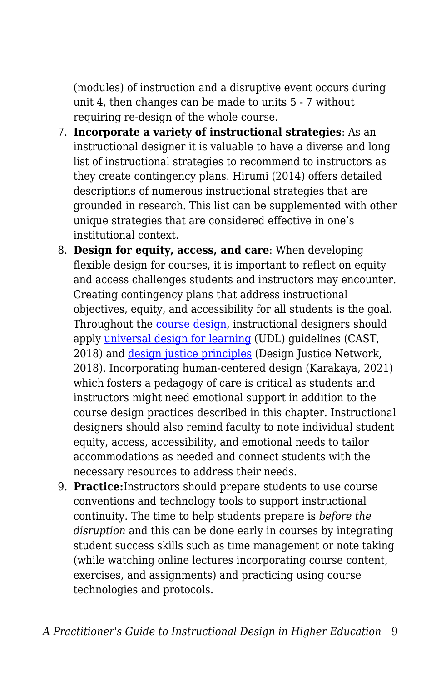(modules) of instruction and a disruptive event occurs during unit 4, then changes can be made to units 5 - 7 without requiring re-design of the whole course.

- 7. **Incorporate a variety of instructional strategies**: As an instructional designer it is valuable to have a diverse and long list of instructional strategies to recommend to instructors as they create contingency plans. Hirumi (2014) offers detailed descriptions of numerous instructional strategies that are grounded in research. This list can be supplemented with other unique strategies that are considered effective in one's institutional context.
- 8. **Design for equity, access, and care**: When developing flexible design for courses, it is important to reflect on equity and access challenges students and instructors may encounter. Creating contingency plans that address instructional objectives, equity, and accessibility for all students is the goal. Throughout the [course design,](http://udloncampus.cast.org/page/planning_landing) instructional designers should apply *universal design for learning* (UDL) guidelines (CAST, 2018) and [design justice principles](https://designjustice.org/read-the-principles) (Design Justice Network, 2018). Incorporating human-centered design (Karakaya, 2021) which fosters a pedagogy of care is critical as students and instructors might need emotional support in addition to the course design practices described in this chapter. Instructional designers should also remind faculty to note individual student equity, access, accessibility, and emotional needs to tailor accommodations as needed and connect students with the necessary resources to address their needs.
- 9. **Practice:**Instructors should prepare students to use course conventions and technology tools to support instructional continuity. The time to help students prepare is *before the disruption* and this can be done early in courses by integrating student success skills such as time management or note taking (while watching online lectures incorporating course content, exercises, and assignments) and practicing using course technologies and protocols.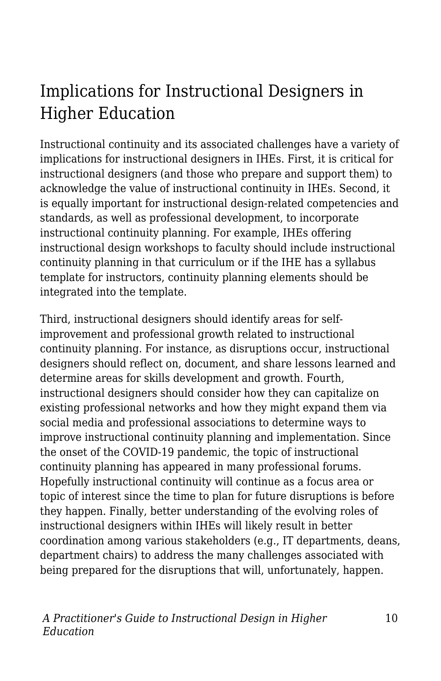# Implications for Instructional Designers in Higher Education

Instructional continuity and its associated challenges have a variety of implications for instructional designers in IHEs. First, it is critical for instructional designers (and those who prepare and support them) to acknowledge the value of instructional continuity in IHEs. Second, it is equally important for instructional design-related competencies and standards, as well as professional development, to incorporate instructional continuity planning. For example, IHEs offering instructional design workshops to faculty should include instructional continuity planning in that curriculum or if the IHE has a syllabus template for instructors, continuity planning elements should be integrated into the template.

Third, instructional designers should identify areas for selfimprovement and professional growth related to instructional continuity planning. For instance, as disruptions occur, instructional designers should reflect on, document, and share lessons learned and determine areas for skills development and growth. Fourth, instructional designers should consider how they can capitalize on existing professional networks and how they might expand them via social media and professional associations to determine ways to improve instructional continuity planning and implementation. Since the onset of the COVID-19 pandemic, the topic of instructional continuity planning has appeared in many professional forums. Hopefully instructional continuity will continue as a focus area or topic of interest since the time to plan for future disruptions is before they happen. Finally, better understanding of the evolving roles of instructional designers within IHEs will likely result in better coordination among various stakeholders (e.g., IT departments, deans, department chairs) to address the many challenges associated with being prepared for the disruptions that will, unfortunately, happen.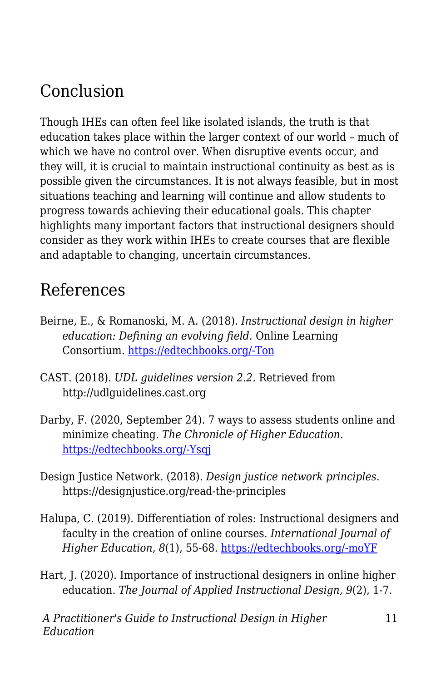### Conclusion

Though IHEs can often feel like isolated islands, the truth is that education takes place within the larger context of our world – much of which we have no control over. When disruptive events occur, and they will, it is crucial to maintain instructional continuity as best as is possible given the circumstances. It is not always feasible, but in most situations teaching and learning will continue and allow students to progress towards achieving their educational goals. This chapter highlights many important factors that instructional designers should consider as they work within IHEs to create courses that are flexible and adaptable to changing, uncertain circumstances.

### References

- Beirne, E., & Romanoski, M. A. (2018). *Instructional design in higher education: Defining an evolving field.* Online Learning Consortium. [https://edtechbooks.org/-Ton](https://olc-wordpress-assets.s3.amazonaws.com/uploads/2018/07/Instructional-Design-in-Higher-Education-Defining-an-Evolving-Field.pdf)
- CAST. (2018). *UDL guidelines version 2.2.* Retrieved from http://udlguidelines.cast.org
- Darby, F. (2020, September 24). 7 ways to assess students online and minimize cheating. *The Chronicle of Higher Education.* [https://edtechbooks.org/-Ysqj](https://www.chronicle.com/article/7-ways-to-assess-students-online-and-minimize-cheating)
- Design Justice Network. (2018). *Design justice network principles*. https://designjustice.org/read-the-principles
- Halupa, C. (2019). Differentiation of roles: Instructional designers and faculty in the creation of online courses. *International Journal of Higher Education*, *8*(1), 55-68. [https://edtechbooks.org/-moYF](https://doi.org/10.5430/ijhe.v8n1p55)
- Hart, J. (2020). Importance of instructional designers in online higher education. *The Journal of Applied Instructional Design, 9*(2), 1-7.

11

*A Practitioner's Guide to Instructional Design in Higher Education*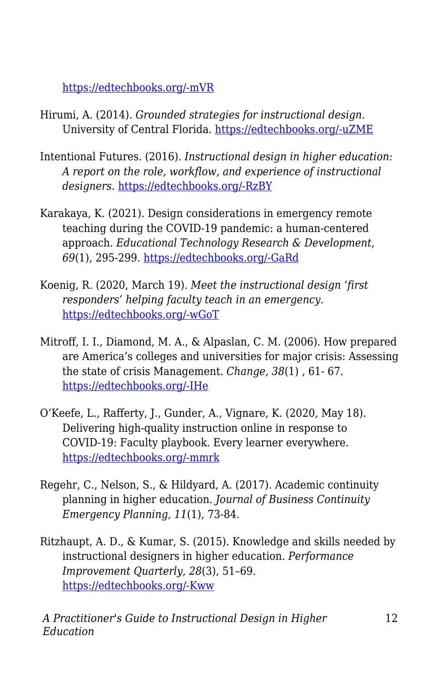[https://edtechbooks.org/-mVR](https://edtechbooks.org/jaid_9_2/important_of_instruc)

- Hirumi, A. (2014). *Grounded strategies for instructional design.* University of Central Florida. [https://edtechbooks.org/-uZME](http://rhartshorne.com/fall-2017/RachelEnglish320/eportfolio/res/Grounded%20Strategies_2014_0309.pdf)
- Intentional Futures. (2016). *Instructional design in higher education: A report on the role, workflow, and experience of instructional designers.* [https://edtechbooks.org/-RzBY](https://intentionalfutures.com/static/instructional-design-in-higher-education-report-5129d9d1e6c988c254567f91f3ab0d2c.pdf)
- Karakaya, K. (2021). Design considerations in emergency remote teaching during the COVID-19 pandemic: a human-centered approach. *Educational Technology Research & Development*, *69*(1), 295-299. [https://edtechbooks.org/-GaRd](https://doi.org/10.1007/s11423-020-09884-0)
- Koenig, R. (2020, March 19). *Meet the instructional design 'first responders' helping faculty teach in an emergency.* [https://edtechbooks.org/-wGoT](https://www.edsurge.com/news/2020-03-19-meet-the-instructional-design-first-responders-helping-faculty-teach-in-an-emergency)
- Mitroff, I. I., Diamond, M. A., & Alpaslan, C. M. (2006). How prepared are America's colleges and universities for major crisis: Assessing the state of crisis Management. *Change, 38*(1) *,* 61- 67. [https://edtechbooks.org/-IHe](https://doi.org/10.3200/CHNG.38.1.61-67)
- O'Keefe, L., Rafferty, J., Gunder, A., Vignare, K. (2020, May 18). Delivering high-quality instruction online in response to COVID-19: Faculty playbook. Every learner everywhere. [https://edtechbooks.org/-mmrk](http://www.everylearnereverywhere.org/resources)
- Regehr, C., Nelson, S., & Hildyard, A. (2017). Academic continuity planning in higher education. *Journal of Business Continuity Emergency Planning, 11*(1), 73-84.
- Ritzhaupt, A. D., & Kumar, S. (2015). Knowledge and skills needed by instructional designers in higher education. *Performance Improvement Quarterly*, *28*(3), 51–69. [https://edtechbooks.org/-Kww](https://doi.org/10.1002/piq.21196)

*A Practitioner's Guide to Instructional Design in Higher Education*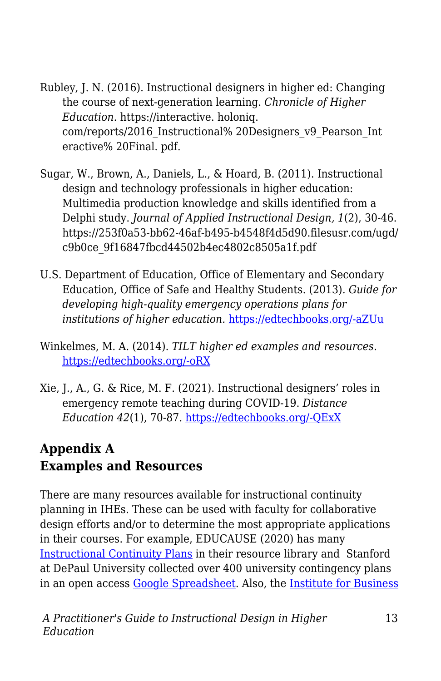- Rubley, J. N. (2016). Instructional designers in higher ed: Changing the course of next-generation learning. *Chronicle of Higher Education*. https://interactive. holoniq. com/reports/2016\_Instructional% 20Designers\_v9\_Pearson\_Int eractive% 20Final. pdf.
- Sugar, W., Brown, A., Daniels, L., & Hoard, B. (2011). Instructional design and technology professionals in higher education: Multimedia production knowledge and skills identified from a Delphi study. *Journal of Applied Instructional Design, 1*(2), 30-46. https://253f0a53-bb62-46af-b495-b4548f4d5d90.filesusr.com/ugd/ c9b0ce\_9f16847fbcd44502b4ec4802c8505a1f.pdf
- U.S. Department of Education, Office of Elementary and Secondary Education, Office of Safe and Healthy Students. (2013). *Guide for developing high-quality emergency operations plans for institutions of higher education.* [https://edtechbooks.org/-aZUu](https://rems.ed.gov/docs/REMS_IHE_Guide_508.pdf)
- Winkelmes, M. A. (2014). *TILT higher ed examples and resources.* [https://edtechbooks.org/-oRX](https://tilthighered.com/tiltexamplesandresources)
- Xie, J., A., G. & Rice, M. F. (2021). Instructional designers' roles in emergency remote teaching during COVID-19. *Distance Education 42*(1), 70-87. [https://edtechbooks.org/-QExX](https://doi.org/10.1080/01587919.2020.1869526)

### **Appendix A Examples and Resources**

There are many resources available for instructional continuity planning in IHEs. These can be used with faculty for collaborative design efforts and/or to determine the most appropriate applications in their courses. For example, EDUCAUSE (2020) has many [Instructional Continuity Plans](https://library.educause.edu/resources/2020/6/instructional-continuity-plans) in their resource library and Stanford at DePaul University collected over 400 university contingency plans in an open access [Google Spreadsheet.](https://docs.google.com/spreadsheets/d/1VT9oiNYPyiEsGHBoDKlwLlWAsWP58sGV7A3oIuEUG3k/edit#gid=1552188977) Also, the [Institute for Business](https://www.ibct.net/)

*A Practitioner's Guide to Instructional Design in Higher Education*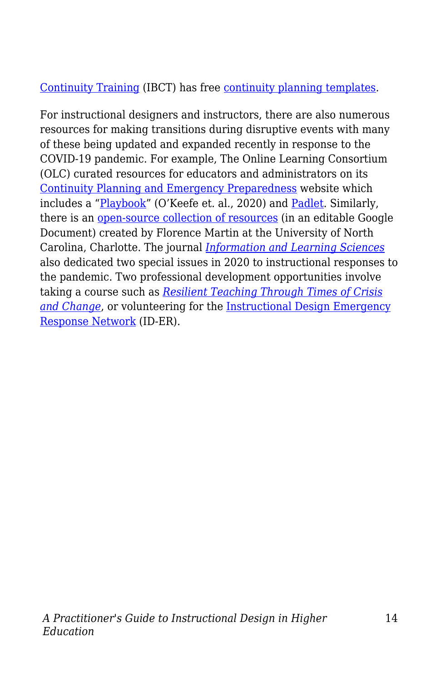#### [Continuity Training](https://www.ibct.net/) (IBCT) has free [continuity planning templates.](https://www.ibct.net/BCP-Files/Templates/)

For instructional designers and instructors, there are also numerous resources for making transitions during disruptive events with many of these being updated and expanded recently in response to the COVID-19 pandemic. For example, The Online Learning Consortium (OLC) curated resources for educators and administrators on its [Continuity Planning and Emergency Preparedness](https://onlinelearningconsortium.org/about/continuity-planning-emergency-preparedness-resources/) website which includes a "[Playbook](http://olc-wordpress-assets.s3.amazonaws.com/uploads/2020/05/Faculty-Playbook_Final-1.pdf)" (O'Keefe et. al., 2020) and [Padlet.](https://padlet.com/OLCInstitute/continuityplan) Similarly, there is an [open-source collection of resources](https://bit.ly/2vTtklX) (in an editable Google Document) created by Florence Martin at the University of North Carolina, Charlotte. The journal *[Information and Learning Sciences](https://www.emerald.com/insight/publication/issn/2398-5348?_ga=2.176878893.967372410.1602460873-1929071766.1602460873)* also dedicated two special issues in 2020 to instructional responses to the pandemic. Two professional development opportunities involve taking a course such as *[Resilient Teaching Through Times of Crisis](https://www.coursera.org/learn/resilient-teaching-through-times-of-crisis) [and Change](https://www.coursera.org/learn/resilient-teaching-through-times-of-crisis)*, or volunteering for the [Instructional Design Emergency](https://www.idernetwork.com/) [Response Network](https://www.idernetwork.com/) (ID-ER).